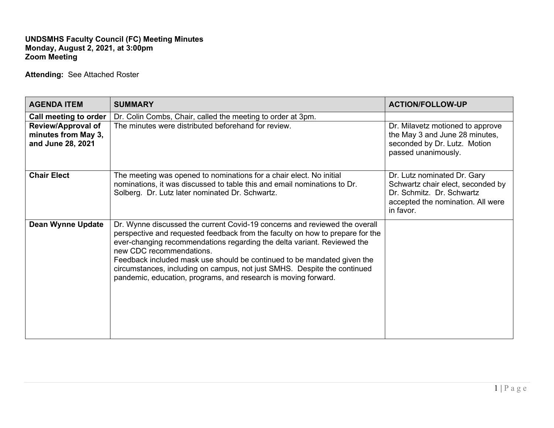## **UNDSMHS Faculty Council (FC) Meeting Minutes Monday, August 2, 2021, at 3:00pm Zoom Meeting**

**Attending:** See Attached Roster

| <b>AGENDA ITEM</b>                                                    | <b>SUMMARY</b>                                                                                                                                                                                                                                                                                                                                                                                                                                                                              | <b>ACTION/FOLLOW-UP</b>                                                                                                                         |
|-----------------------------------------------------------------------|---------------------------------------------------------------------------------------------------------------------------------------------------------------------------------------------------------------------------------------------------------------------------------------------------------------------------------------------------------------------------------------------------------------------------------------------------------------------------------------------|-------------------------------------------------------------------------------------------------------------------------------------------------|
| Call meeting to order                                                 | Dr. Colin Combs, Chair, called the meeting to order at 3pm.                                                                                                                                                                                                                                                                                                                                                                                                                                 |                                                                                                                                                 |
| <b>Review/Approval of</b><br>minutes from May 3,<br>and June 28, 2021 | The minutes were distributed beforehand for review.                                                                                                                                                                                                                                                                                                                                                                                                                                         | Dr. Milavetz motioned to approve<br>the May 3 and June 28 minutes,<br>seconded by Dr. Lutz. Motion<br>passed unanimously.                       |
| <b>Chair Elect</b>                                                    | The meeting was opened to nominations for a chair elect. No initial<br>nominations, it was discussed to table this and email nominations to Dr.<br>Solberg. Dr. Lutz later nominated Dr. Schwartz.                                                                                                                                                                                                                                                                                          | Dr. Lutz nominated Dr. Gary<br>Schwartz chair elect, seconded by<br>Dr. Schmitz. Dr. Schwartz<br>accepted the nomination. All were<br>in favor. |
| <b>Dean Wynne Update</b>                                              | Dr. Wynne discussed the current Covid-19 concerns and reviewed the overall<br>perspective and requested feedback from the faculty on how to prepare for the<br>ever-changing recommendations regarding the delta variant. Reviewed the<br>new CDC recommendations.<br>Feedback included mask use should be continued to be mandated given the<br>circumstances, including on campus, not just SMHS. Despite the continued<br>pandemic, education, programs, and research is moving forward. |                                                                                                                                                 |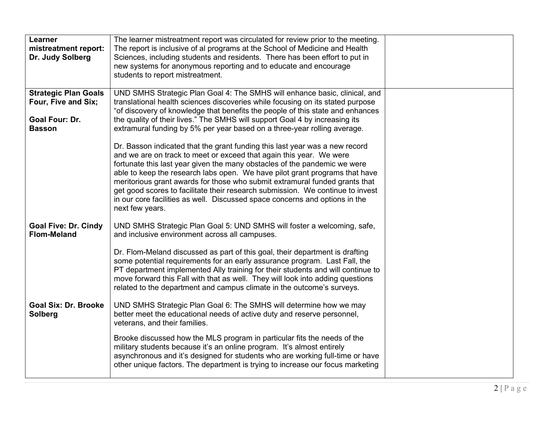| Learner<br>mistreatment report:<br>Dr. Judy Solberg                                          | The learner mistreatment report was circulated for review prior to the meeting.<br>The report is inclusive of al programs at the School of Medicine and Health<br>Sciences, including students and residents. There has been effort to put in<br>new systems for anonymous reporting and to educate and encourage<br>students to report mistreatment.                                                                                                                                                                                                                             |  |
|----------------------------------------------------------------------------------------------|-----------------------------------------------------------------------------------------------------------------------------------------------------------------------------------------------------------------------------------------------------------------------------------------------------------------------------------------------------------------------------------------------------------------------------------------------------------------------------------------------------------------------------------------------------------------------------------|--|
| <b>Strategic Plan Goals</b><br>Four, Five and Six;<br><b>Goal Four: Dr.</b><br><b>Basson</b> | UND SMHS Strategic Plan Goal 4: The SMHS will enhance basic, clinical, and<br>translational health sciences discoveries while focusing on its stated purpose<br>"of discovery of knowledge that benefits the people of this state and enhances<br>the quality of their lives." The SMHS will support Goal 4 by increasing its<br>extramural funding by 5% per year based on a three-year rolling average.                                                                                                                                                                         |  |
|                                                                                              | Dr. Basson indicated that the grant funding this last year was a new record<br>and we are on track to meet or exceed that again this year. We were<br>fortunate this last year given the many obstacles of the pandemic we were<br>able to keep the research labs open. We have pilot grant programs that have<br>meritorious grant awards for those who submit extramural funded grants that<br>get good scores to facilitate their research submission. We continue to invest<br>in our core facilities as well. Discussed space concerns and options in the<br>next few years. |  |
| <b>Goal Five: Dr. Cindy</b><br><b>Flom-Meland</b>                                            | UND SMHS Strategic Plan Goal 5: UND SMHS will foster a welcoming, safe,<br>and inclusive environment across all campuses.<br>Dr. Flom-Meland discussed as part of this goal, their department is drafting<br>some potential requirements for an early assurance program. Last Fall, the<br>PT department implemented Ally training for their students and will continue to<br>move forward this Fall with that as well. They will look into adding questions<br>related to the department and campus climate in the outcome's surveys.                                            |  |
| <b>Goal Six: Dr. Brooke</b><br>Solberg                                                       | UND SMHS Strategic Plan Goal 6: The SMHS will determine how we may<br>better meet the educational needs of active duty and reserve personnel,<br>veterans, and their families.<br>Brooke discussed how the MLS program in particular fits the needs of the<br>military students because it's an online program. It's almost entirely<br>asynchronous and it's designed for students who are working full-time or have<br>other unique factors. The department is trying to increase our focus marketing                                                                           |  |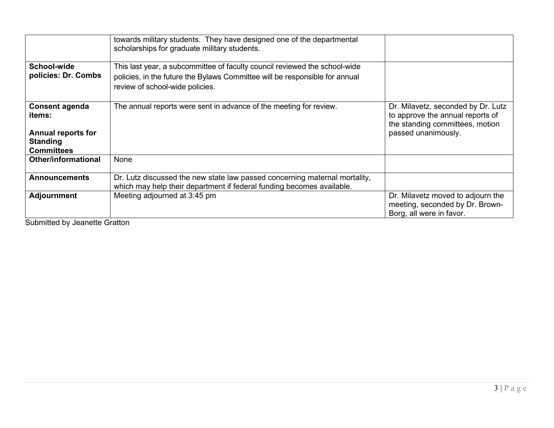|                                                                   | towards military students. They have designed one of the departmental<br>scholarships for graduate military students.                                     |                                                                                                           |
|-------------------------------------------------------------------|-----------------------------------------------------------------------------------------------------------------------------------------------------------|-----------------------------------------------------------------------------------------------------------|
| School-wide<br>policies: Dr. Combs                                | This last year, a subcommittee of faculty council reviewed the school-wide<br>policies, in the future the Bylaws Committee will be responsible for annual |                                                                                                           |
|                                                                   | review of school-wide policies.                                                                                                                           |                                                                                                           |
| Consent agenda<br>items:                                          | The annual reports were sent in advance of the meeting for review.                                                                                        | Dr. Milavetz, seconded by Dr. Lutz<br>to approve the annual reports of<br>the standing committees, motion |
| <b>Annual reports for</b><br><b>Standing</b><br><b>Committees</b> |                                                                                                                                                           | passed unanimously.                                                                                       |
| Other/informational                                               | <b>None</b>                                                                                                                                               |                                                                                                           |
| <b>Announcements</b>                                              | Dr. Lutz discussed the new state law passed concerning maternal mortality,<br>which may help their department if federal funding becomes available.       |                                                                                                           |
| <b>Adjournment</b>                                                | Meeting adjourned at 3:45 pm                                                                                                                              | Dr. Milavetz moved to adjourn the<br>meeting, seconded by Dr. Brown-<br>Borg, all were in favor.          |

Submitted by Jeanette Gratton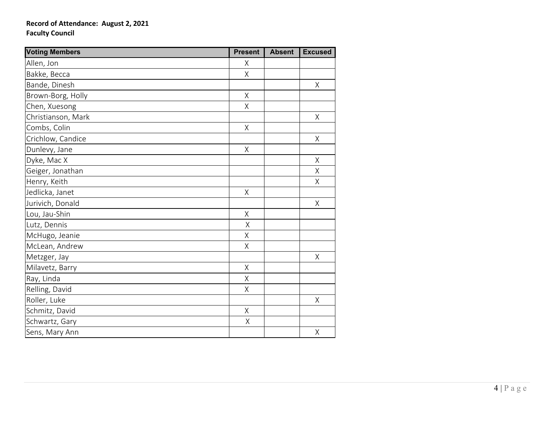## **Record of Attendance: August 2, 2021 Faculty Council**

| <b>Voting Members</b> |         | <b>Absent</b> | <b>Excused</b> |
|-----------------------|---------|---------------|----------------|
| Allen, Jon            | X       |               |                |
| Bakke, Becca          |         |               |                |
| Bande, Dinesh         |         |               | $\sf X$        |
| Brown-Borg, Holly     | Χ       |               |                |
| Chen, Xuesong         | Χ       |               |                |
| Christianson, Mark    |         |               | $\sf X$        |
| Combs, Colin          | Χ       |               |                |
| Crichlow, Candice     |         |               | $\sf X$        |
| Dunlevy, Jane         | $\sf X$ |               |                |
| Dyke, Mac X           |         |               | X              |
| Geiger, Jonathan      |         |               | Χ              |
| Henry, Keith          |         |               | Χ              |
| Jedlicka, Janet       | Χ       |               |                |
| Jurivich, Donald      |         |               | Χ              |
| Lou, Jau-Shin         | Χ       |               |                |
| Lutz, Dennis          | Χ       |               |                |
| McHugo, Jeanie        |         |               |                |
| McLean, Andrew        |         |               |                |
| Metzger, Jay          |         |               | X              |
| Milavetz, Barry       | X       |               |                |
| Ray, Linda            | X       |               |                |
| Relling, David        | Χ       |               |                |
| Roller, Luke          |         |               | Χ              |
| Schmitz, David        | Χ       |               |                |
| Schwartz, Gary        | $\sf X$ |               |                |
| Sens, Mary Ann        |         |               | Χ              |